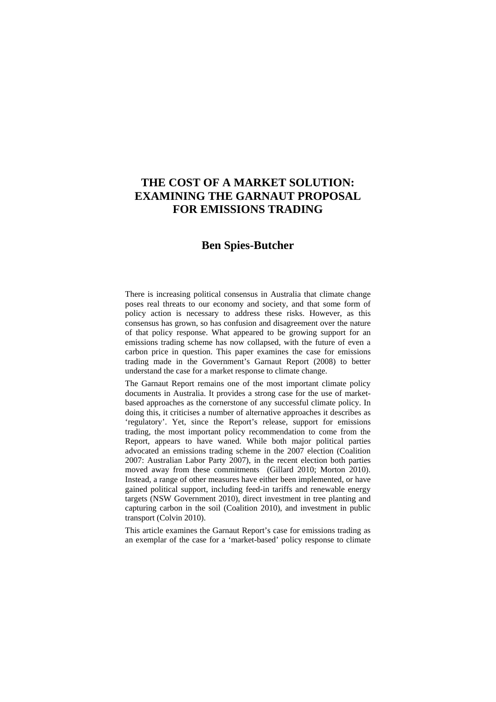# **THE COST OF A MARKET SOLUTION: EXAMINING THE GARNAUT PROPOSAL FOR EMISSIONS TRADING**

## **Ben Spies-Butcher**

There is increasing political consensus in Australia that climate change poses real threats to our economy and society, and that some form of policy action is necessary to address these risks. However, as this consensus has grown, so has confusion and disagreement over the nature of that policy response. What appeared to be growing support for an emissions trading scheme has now collapsed, with the future of even a carbon price in question. This paper examines the case for emissions trading made in the Government's Garnaut Report (2008) to better understand the case for a market response to climate change.

The Garnaut Report remains one of the most important climate policy documents in Australia. It provides a strong case for the use of marketbased approaches as the cornerstone of any successful climate policy. In doing this, it criticises a number of alternative approaches it describes as 'regulatory'. Yet, since the Report's release, support for emissions trading, the most important policy recommendation to come from the Report, appears to have waned. While both major political parties advocated an emissions trading scheme in the 2007 election (Coalition 2007: Australian Labor Party 2007), in the recent election both parties moved away from these commitments (Gillard 2010; Morton 2010). Instead, a range of other measures have either been implemented, or have gained political support, including feed-in tariffs and renewable energy targets (NSW Government 2010), direct investment in tree planting and capturing carbon in the soil (Coalition 2010), and investment in public transport (Colvin 2010).

This article examines the Garnaut Report's case for emissions trading as an exemplar of the case for a 'market-based' policy response to climate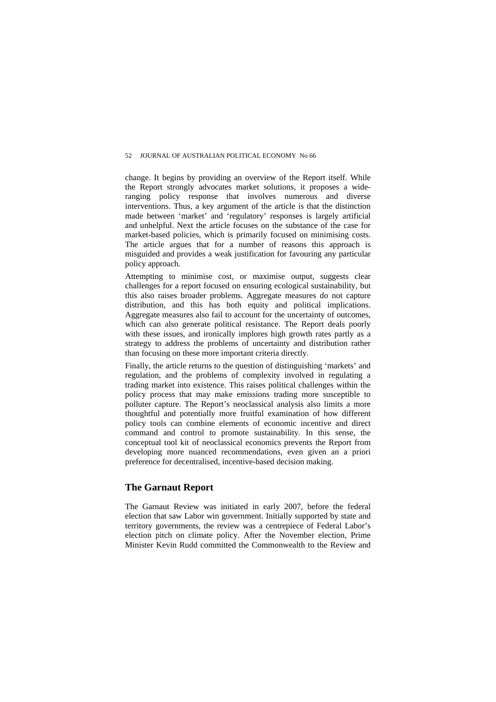change. It begins by providing an overview of the Report itself. While the Report strongly advocates market solutions, it proposes a wideranging policy response that involves numerous and diverse interventions. Thus, a key argument of the article is that the distinction made between 'market' and 'regulatory' responses is largely artificial and unhelpful. Next the article focuses on the substance of the case for market-based policies, which is primarily focused on minimising costs. The article argues that for a number of reasons this approach is misguided and provides a weak justification for favouring any particular policy approach.

Attempting to minimise cost, or maximise output, suggests clear challenges for a report focused on ensuring ecological sustainability, but this also raises broader problems. Aggregate measures do not capture distribution, and this has both equity and political implications. Aggregate measures also fail to account for the uncertainty of outcomes, which can also generate political resistance. The Report deals poorly with these issues, and ironically implores high growth rates partly as a strategy to address the problems of uncertainty and distribution rather than focusing on these more important criteria directly.

Finally, the article returns to the question of distinguishing 'markets' and regulation, and the problems of complexity involved in regulating a trading market into existence. This raises political challenges within the policy process that may make emissions trading more susceptible to polluter capture. The Report's neoclassical analysis also limits a more thoughtful and potentially more fruitful examination of how different policy tools can combine elements of economic incentive and direct command and control to promote sustainability. In this sense, the conceptual tool kit of neoclassical economics prevents the Report from developing more nuanced recommendations, even given an a priori preference for decentralised, incentive-based decision making.

## **The Garnaut Report**

The Garnaut Review was initiated in early 2007, before the federal election that saw Labor win government. Initially supported by state and territory governments, the review was a centrepiece of Federal Labor's election pitch on climate policy. After the November election, Prime Minister Kevin Rudd committed the Commonwealth to the Review and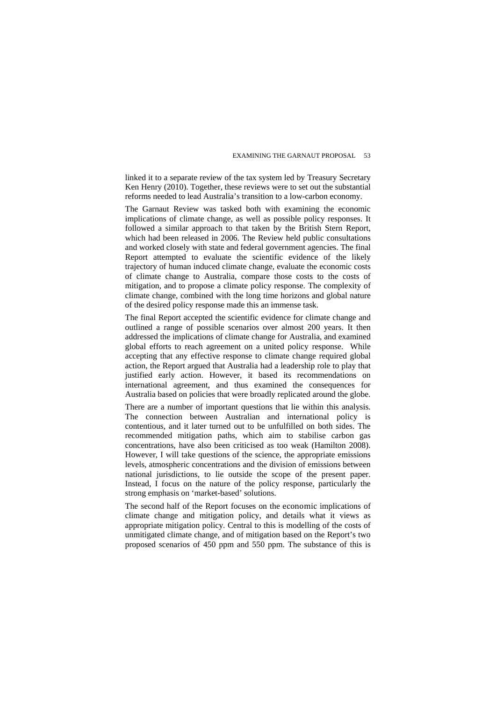linked it to a separate review of the tax system led by Treasury Secretary Ken Henry (2010). Together, these reviews were to set out the substantial reforms needed to lead Australia's transition to a low-carbon economy.

The Garnaut Review was tasked both with examining the economic implications of climate change, as well as possible policy responses. It followed a similar approach to that taken by the British Stern Report, which had been released in 2006. The Review held public consultations and worked closely with state and federal government agencies. The final Report attempted to evaluate the scientific evidence of the likely trajectory of human induced climate change, evaluate the economic costs of climate change to Australia, compare those costs to the costs of mitigation, and to propose a climate policy response. The complexity of climate change, combined with the long time horizons and global nature of the desired policy response made this an immense task.

The final Report accepted the scientific evidence for climate change and outlined a range of possible scenarios over almost 200 years. It then addressed the implications of climate change for Australia, and examined global efforts to reach agreement on a united policy response. While accepting that any effective response to climate change required global action, the Report argued that Australia had a leadership role to play that justified early action. However, it based its recommendations on international agreement, and thus examined the consequences for Australia based on policies that were broadly replicated around the globe.

There are a number of important questions that lie within this analysis. The connection between Australian and international policy is contentious, and it later turned out to be unfulfilled on both sides. The recommended mitigation paths, which aim to stabilise carbon gas concentrations, have also been criticised as too weak (Hamilton 2008). However, I will take questions of the science, the appropriate emissions levels, atmospheric concentrations and the division of emissions between national jurisdictions, to lie outside the scope of the present paper. Instead, I focus on the nature of the policy response, particularly the strong emphasis on 'market-based' solutions.

The second half of the Report focuses on the economic implications of climate change and mitigation policy, and details what it views as appropriate mitigation policy. Central to this is modelling of the costs of unmitigated climate change, and of mitigation based on the Report's two proposed scenarios of 450 ppm and 550 ppm. The substance of this is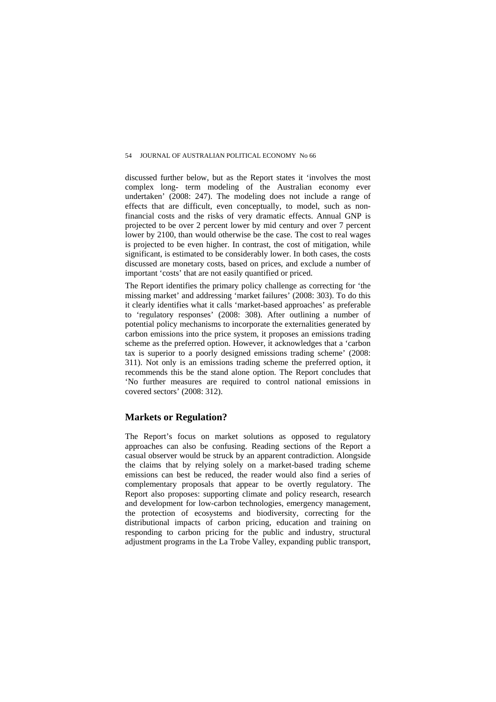discussed further below, but as the Report states it 'involves the most complex long- term modeling of the Australian economy ever undertaken' (2008: 247). The modeling does not include a range of effects that are difficult, even conceptually, to model, such as nonfinancial costs and the risks of very dramatic effects. Annual GNP is projected to be over 2 percent lower by mid century and over 7 percent lower by 2100, than would otherwise be the case. The cost to real wages is projected to be even higher. In contrast, the cost of mitigation, while significant, is estimated to be considerably lower. In both cases, the costs discussed are monetary costs, based on prices, and exclude a number of important 'costs' that are not easily quantified or priced.

The Report identifies the primary policy challenge as correcting for 'the missing market' and addressing 'market failures' (2008: 303). To do this it clearly identifies what it calls 'market-based approaches' as preferable to 'regulatory responses' (2008: 308). After outlining a number of potential policy mechanisms to incorporate the externalities generated by carbon emissions into the price system, it proposes an emissions trading scheme as the preferred option. However, it acknowledges that a 'carbon tax is superior to a poorly designed emissions trading scheme' (2008: 311). Not only is an emissions trading scheme the preferred option, it recommends this be the stand alone option. The Report concludes that 'No further measures are required to control national emissions in covered sectors' (2008: 312).

## **Markets or Regulation?**

The Report's focus on market solutions as opposed to regulatory approaches can also be confusing. Reading sections of the Report a casual observer would be struck by an apparent contradiction. Alongside the claims that by relying solely on a market-based trading scheme emissions can best be reduced, the reader would also find a series of complementary proposals that appear to be overtly regulatory. The Report also proposes: supporting climate and policy research, research and development for low-carbon technologies, emergency management, the protection of ecosystems and biodiversity, correcting for the distributional impacts of carbon pricing, education and training on responding to carbon pricing for the public and industry, structural adjustment programs in the La Trobe Valley, expanding public transport,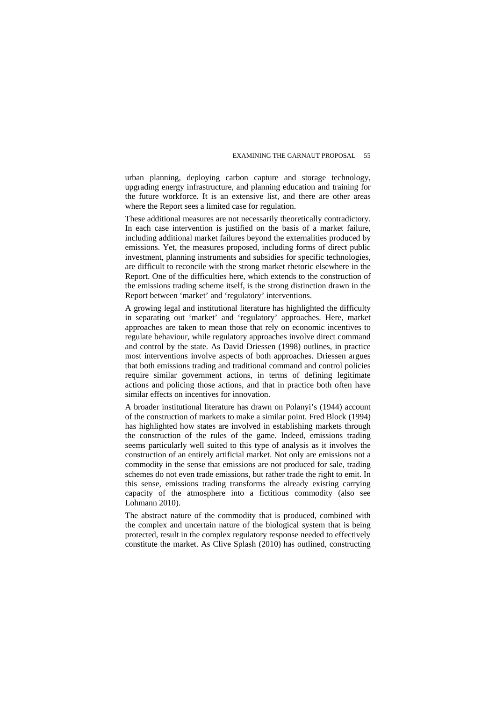urban planning, deploying carbon capture and storage technology, upgrading energy infrastructure, and planning education and training for the future workforce. It is an extensive list, and there are other areas where the Report sees a limited case for regulation.

These additional measures are not necessarily theoretically contradictory. In each case intervention is justified on the basis of a market failure, including additional market failures beyond the externalities produced by emissions. Yet, the measures proposed, including forms of direct public investment, planning instruments and subsidies for specific technologies, are difficult to reconcile with the strong market rhetoric elsewhere in the Report. One of the difficulties here, which extends to the construction of the emissions trading scheme itself, is the strong distinction drawn in the Report between 'market' and 'regulatory' interventions.

A growing legal and institutional literature has highlighted the difficulty in separating out 'market' and 'regulatory' approaches. Here, market approaches are taken to mean those that rely on economic incentives to regulate behaviour, while regulatory approaches involve direct command and control by the state. As David Driessen (1998) outlines, in practice most interventions involve aspects of both approaches. Driessen argues that both emissions trading and traditional command and control policies require similar government actions, in terms of defining legitimate actions and policing those actions, and that in practice both often have similar effects on incentives for innovation.

A broader institutional literature has drawn on Polanyi's (1944) account of the construction of markets to make a similar point. Fred Block (1994) has highlighted how states are involved in establishing markets through the construction of the rules of the game. Indeed, emissions trading seems particularly well suited to this type of analysis as it involves the construction of an entirely artificial market. Not only are emissions not a commodity in the sense that emissions are not produced for sale, trading schemes do not even trade emissions, but rather trade the right to emit. In this sense, emissions trading transforms the already existing carrying capacity of the atmosphere into a fictitious commodity (also see Lohmann 2010).

The abstract nature of the commodity that is produced, combined with the complex and uncertain nature of the biological system that is being protected, result in the complex regulatory response needed to effectively constitute the market. As Clive Splash (2010) has outlined, constructing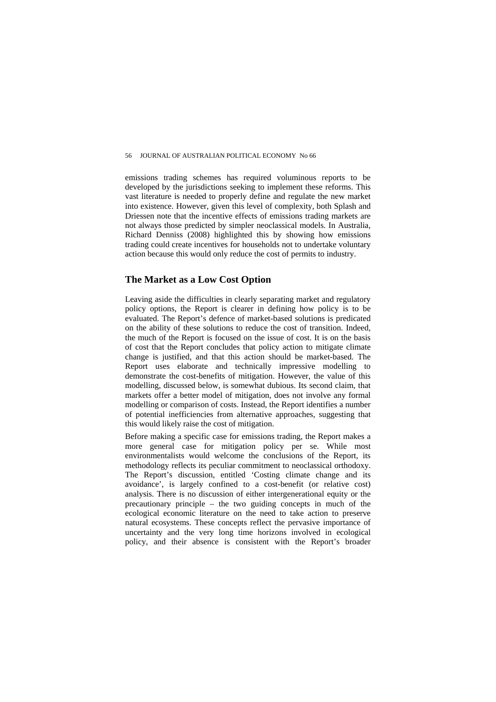emissions trading schemes has required voluminous reports to be developed by the jurisdictions seeking to implement these reforms. This vast literature is needed to properly define and regulate the new market into existence. However, given this level of complexity, both Splash and Driessen note that the incentive effects of emissions trading markets are not always those predicted by simpler neoclassical models. In Australia, Richard Denniss (2008) highlighted this by showing how emissions trading could create incentives for households not to undertake voluntary action because this would only reduce the cost of permits to industry.

#### **The Market as a Low Cost Option**

Leaving aside the difficulties in clearly separating market and regulatory policy options, the Report is clearer in defining how policy is to be evaluated. The Report's defence of market-based solutions is predicated on the ability of these solutions to reduce the cost of transition. Indeed, the much of the Report is focused on the issue of cost. It is on the basis of cost that the Report concludes that policy action to mitigate climate change is justified, and that this action should be market-based. The Report uses elaborate and technically impressive modelling to demonstrate the cost-benefits of mitigation. However, the value of this modelling, discussed below, is somewhat dubious. Its second claim, that markets offer a better model of mitigation, does not involve any formal modelling or comparison of costs. Instead, the Report identifies a number of potential inefficiencies from alternative approaches, suggesting that this would likely raise the cost of mitigation.

Before making a specific case for emissions trading, the Report makes a more general case for mitigation policy per se. While most environmentalists would welcome the conclusions of the Report, its methodology reflects its peculiar commitment to neoclassical orthodoxy. The Report's discussion, entitled 'Costing climate change and its avoidance', is largely confined to a cost-benefit (or relative cost) analysis. There is no discussion of either intergenerational equity or the precautionary principle – the two guiding concepts in much of the ecological economic literature on the need to take action to preserve natural ecosystems. These concepts reflect the pervasive importance of uncertainty and the very long time horizons involved in ecological policy, and their absence is consistent with the Report's broader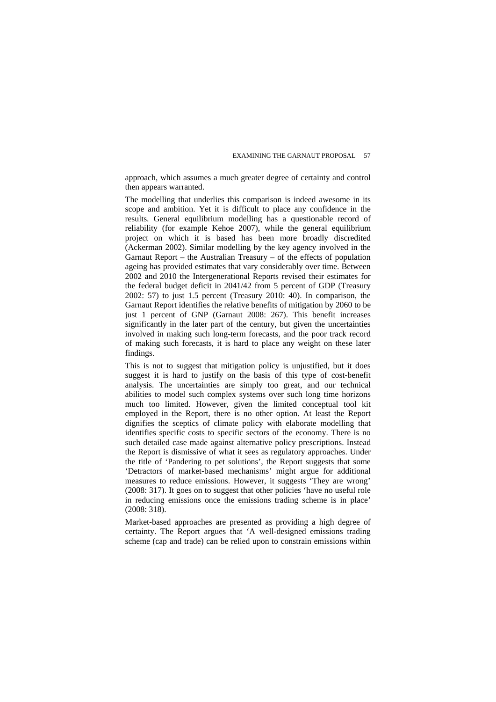approach, which assumes a much greater degree of certainty and control then appears warranted.

The modelling that underlies this comparison is indeed awesome in its scope and ambition. Yet it is difficult to place any confidence in the results. General equilibrium modelling has a questionable record of reliability (for example Kehoe 2007), while the general equilibrium project on which it is based has been more broadly discredited (Ackerman 2002). Similar modelling by the key agency involved in the Garnaut Report – the Australian Treasury – of the effects of population ageing has provided estimates that vary considerably over time. Between 2002 and 2010 the Intergenerational Reports revised their estimates for the federal budget deficit in 2041/42 from 5 percent of GDP (Treasury 2002: 57) to just 1.5 percent (Treasury 2010: 40). In comparison, the Garnaut Report identifies the relative benefits of mitigation by 2060 to be just 1 percent of GNP (Garnaut 2008: 267). This benefit increases significantly in the later part of the century, but given the uncertainties involved in making such long-term forecasts, and the poor track record of making such forecasts, it is hard to place any weight on these later findings.

This is not to suggest that mitigation policy is unjustified, but it does suggest it is hard to justify on the basis of this type of cost-benefit analysis. The uncertainties are simply too great, and our technical abilities to model such complex systems over such long time horizons much too limited. However, given the limited conceptual tool kit employed in the Report, there is no other option. At least the Report dignifies the sceptics of climate policy with elaborate modelling that identifies specific costs to specific sectors of the economy. There is no such detailed case made against alternative policy prescriptions. Instead the Report is dismissive of what it sees as regulatory approaches. Under the title of 'Pandering to pet solutions', the Report suggests that some 'Detractors of market-based mechanisms' might argue for additional measures to reduce emissions. However, it suggests 'They are wrong' (2008: 317). It goes on to suggest that other policies 'have no useful role in reducing emissions once the emissions trading scheme is in place' (2008: 318).

Market-based approaches are presented as providing a high degree of certainty. The Report argues that 'A well-designed emissions trading scheme (cap and trade) can be relied upon to constrain emissions within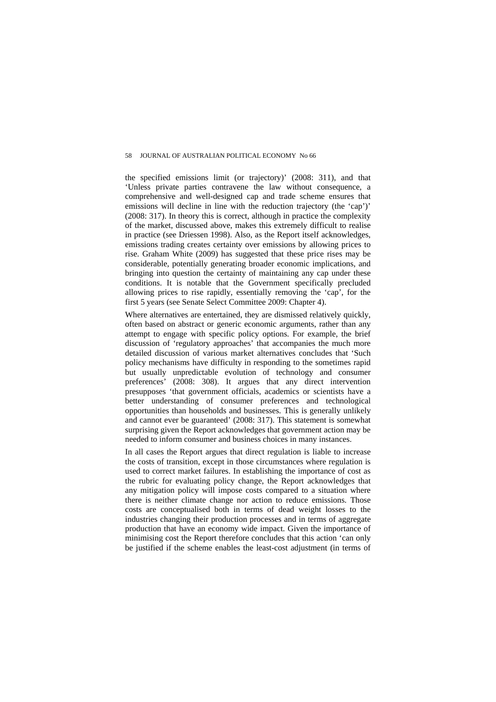the specified emissions limit (or trajectory)' (2008: 311), and that 'Unless private parties contravene the law without consequence, a comprehensive and well-designed cap and trade scheme ensures that emissions will decline in line with the reduction trajectory (the 'cap')' (2008: 317). In theory this is correct, although in practice the complexity of the market, discussed above, makes this extremely difficult to realise in practice (see Driessen 1998). Also, as the Report itself acknowledges, emissions trading creates certainty over emissions by allowing prices to rise. Graham White (2009) has suggested that these price rises may be considerable, potentially generating broader economic implications, and bringing into question the certainty of maintaining any cap under these conditions. It is notable that the Government specifically precluded allowing prices to rise rapidly, essentially removing the 'cap', for the first 5 years (see Senate Select Committee 2009: Chapter 4).

Where alternatives are entertained, they are dismissed relatively quickly, often based on abstract or generic economic arguments, rather than any attempt to engage with specific policy options. For example, the brief discussion of 'regulatory approaches' that accompanies the much more detailed discussion of various market alternatives concludes that 'Such policy mechanisms have difficulty in responding to the sometimes rapid but usually unpredictable evolution of technology and consumer preferences' (2008: 308). It argues that any direct intervention presupposes 'that government officials, academics or scientists have a better understanding of consumer preferences and technological opportunities than households and businesses. This is generally unlikely and cannot ever be guaranteed' (2008: 317). This statement is somewhat surprising given the Report acknowledges that government action may be needed to inform consumer and business choices in many instances.

In all cases the Report argues that direct regulation is liable to increase the costs of transition, except in those circumstances where regulation is used to correct market failures. In establishing the importance of cost as the rubric for evaluating policy change, the Report acknowledges that any mitigation policy will impose costs compared to a situation where there is neither climate change nor action to reduce emissions. Those costs are conceptualised both in terms of dead weight losses to the industries changing their production processes and in terms of aggregate production that have an economy wide impact. Given the importance of minimising cost the Report therefore concludes that this action 'can only be justified if the scheme enables the least-cost adjustment (in terms of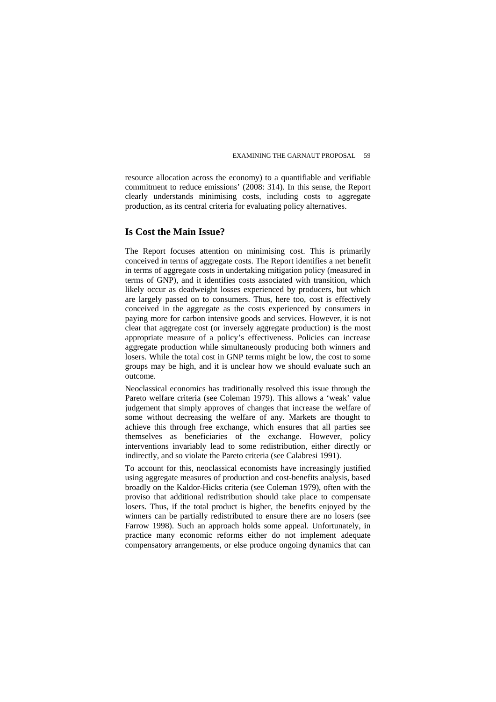resource allocation across the economy) to a quantifiable and verifiable commitment to reduce emissions' (2008: 314). In this sense, the Report clearly understands minimising costs, including costs to aggregate production, as its central criteria for evaluating policy alternatives.

## **Is Cost the Main Issue?**

The Report focuses attention on minimising cost. This is primarily conceived in terms of aggregate costs. The Report identifies a net benefit in terms of aggregate costs in undertaking mitigation policy (measured in terms of GNP), and it identifies costs associated with transition, which likely occur as deadweight losses experienced by producers, but which are largely passed on to consumers. Thus, here too, cost is effectively conceived in the aggregate as the costs experienced by consumers in paying more for carbon intensive goods and services. However, it is not clear that aggregate cost (or inversely aggregate production) is the most appropriate measure of a policy's effectiveness. Policies can increase aggregate production while simultaneously producing both winners and losers. While the total cost in GNP terms might be low, the cost to some groups may be high, and it is unclear how we should evaluate such an outcome.

Neoclassical economics has traditionally resolved this issue through the Pareto welfare criteria (see Coleman 1979). This allows a 'weak' value judgement that simply approves of changes that increase the welfare of some without decreasing the welfare of any. Markets are thought to achieve this through free exchange, which ensures that all parties see themselves as beneficiaries of the exchange. However, policy interventions invariably lead to some redistribution, either directly or indirectly, and so violate the Pareto criteria (see Calabresi 1991).

To account for this, neoclassical economists have increasingly justified using aggregate measures of production and cost-benefits analysis, based broadly on the Kaldor-Hicks criteria (see Coleman 1979), often with the proviso that additional redistribution should take place to compensate losers. Thus, if the total product is higher, the benefits enjoyed by the winners can be partially redistributed to ensure there are no losers (see Farrow 1998). Such an approach holds some appeal. Unfortunately, in practice many economic reforms either do not implement adequate compensatory arrangements, or else produce ongoing dynamics that can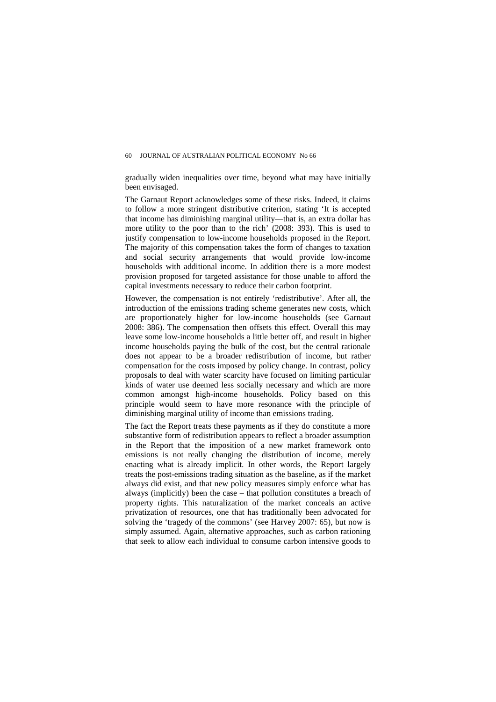gradually widen inequalities over time, beyond what may have initially been envisaged.

The Garnaut Report acknowledges some of these risks. Indeed, it claims to follow a more stringent distributive criterion, stating 'It is accepted that income has diminishing marginal utility—that is, an extra dollar has more utility to the poor than to the rich' (2008: 393). This is used to justify compensation to low-income households proposed in the Report. The majority of this compensation takes the form of changes to taxation and social security arrangements that would provide low-income households with additional income. In addition there is a more modest provision proposed for targeted assistance for those unable to afford the capital investments necessary to reduce their carbon footprint.

However, the compensation is not entirely 'redistributive'. After all, the introduction of the emissions trading scheme generates new costs, which are proportionately higher for low-income households (see Garnaut 2008: 386). The compensation then offsets this effect. Overall this may leave some low-income households a little better off, and result in higher income households paying the bulk of the cost, but the central rationale does not appear to be a broader redistribution of income, but rather compensation for the costs imposed by policy change. In contrast, policy proposals to deal with water scarcity have focused on limiting particular kinds of water use deemed less socially necessary and which are more common amongst high-income households. Policy based on this principle would seem to have more resonance with the principle of diminishing marginal utility of income than emissions trading.

The fact the Report treats these payments as if they do constitute a more substantive form of redistribution appears to reflect a broader assumption in the Report that the imposition of a new market framework onto emissions is not really changing the distribution of income, merely enacting what is already implicit. In other words, the Report largely treats the post-emissions trading situation as the baseline, as if the market always did exist, and that new policy measures simply enforce what has always (implicitly) been the case – that pollution constitutes a breach of property rights. This naturalization of the market conceals an active privatization of resources, one that has traditionally been advocated for solving the 'tragedy of the commons' (see Harvey 2007: 65), but now is simply assumed. Again, alternative approaches, such as carbon rationing that seek to allow each individual to consume carbon intensive goods to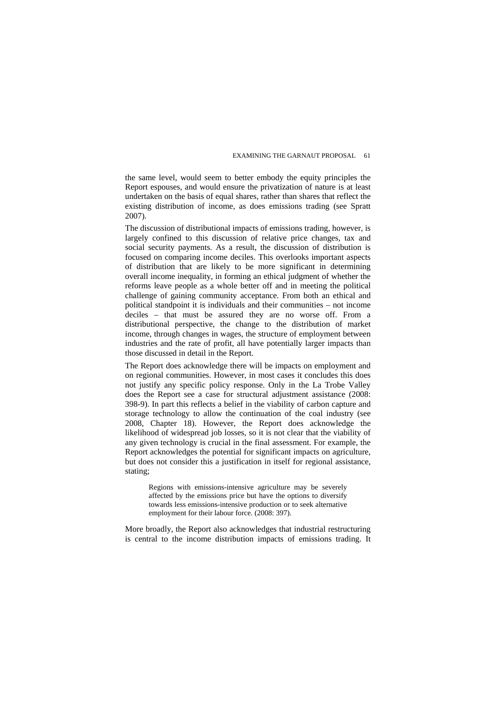the same level, would seem to better embody the equity principles the Report espouses, and would ensure the privatization of nature is at least undertaken on the basis of equal shares, rather than shares that reflect the existing distribution of income, as does emissions trading (see Spratt 2007).

The discussion of distributional impacts of emissions trading, however, is largely confined to this discussion of relative price changes, tax and social security payments. As a result, the discussion of distribution is focused on comparing income deciles. This overlooks important aspects of distribution that are likely to be more significant in determining overall income inequality, in forming an ethical judgment of whether the reforms leave people as a whole better off and in meeting the political challenge of gaining community acceptance. From both an ethical and political standpoint it is individuals and their communities – not income deciles – that must be assured they are no worse off. From a distributional perspective, the change to the distribution of market income, through changes in wages, the structure of employment between industries and the rate of profit, all have potentially larger impacts than those discussed in detail in the Report.

The Report does acknowledge there will be impacts on employment and on regional communities. However, in most cases it concludes this does not justify any specific policy response. Only in the La Trobe Valley does the Report see a case for structural adjustment assistance (2008: 398-9). In part this reflects a belief in the viability of carbon capture and storage technology to allow the continuation of the coal industry (see 2008, Chapter 18). However, the Report does acknowledge the likelihood of widespread job losses, so it is not clear that the viability of any given technology is crucial in the final assessment. For example, the Report acknowledges the potential for significant impacts on agriculture, but does not consider this a justification in itself for regional assistance, stating;

Regions with emissions-intensive agriculture may be severely affected by the emissions price but have the options to diversify towards less emissions-intensive production or to seek alternative employment for their labour force. (2008: 397).

More broadly, the Report also acknowledges that industrial restructuring is central to the income distribution impacts of emissions trading. It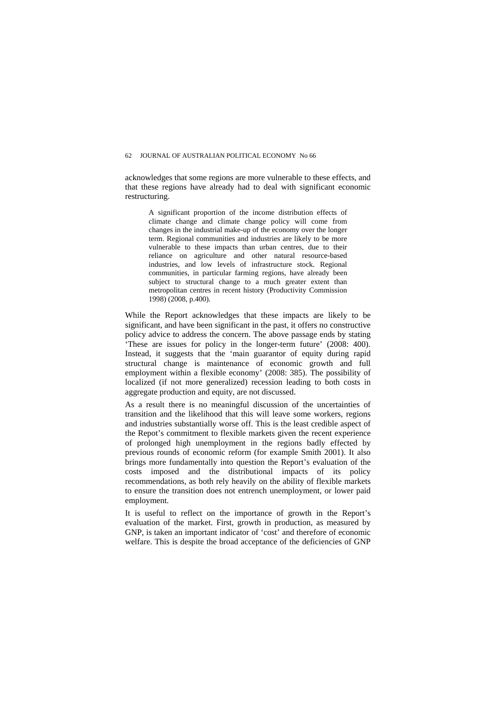acknowledges that some regions are more vulnerable to these effects, and that these regions have already had to deal with significant economic restructuring.

A significant proportion of the income distribution effects of climate change and climate change policy will come from changes in the industrial make-up of the economy over the longer term. Regional communities and industries are likely to be more vulnerable to these impacts than urban centres, due to their reliance on agriculture and other natural resource-based industries, and low levels of infrastructure stock. Regional communities, in particular farming regions, have already been subject to structural change to a much greater extent than metropolitan centres in recent history (Productivity Commission 1998) (2008, p.400).

While the Report acknowledges that these impacts are likely to be significant, and have been significant in the past, it offers no constructive policy advice to address the concern. The above passage ends by stating 'These are issues for policy in the longer-term future' (2008: 400). Instead, it suggests that the 'main guarantor of equity during rapid structural change is maintenance of economic growth and full employment within a flexible economy' (2008: 385). The possibility of localized (if not more generalized) recession leading to both costs in aggregate production and equity, are not discussed.

As a result there is no meaningful discussion of the uncertainties of transition and the likelihood that this will leave some workers, regions and industries substantially worse off. This is the least credible aspect of the Repot's commitment to flexible markets given the recent experience of prolonged high unemployment in the regions badly effected by previous rounds of economic reform (for example Smith 2001). It also brings more fundamentally into question the Report's evaluation of the costs imposed and the distributional impacts of its policy recommendations, as both rely heavily on the ability of flexible markets to ensure the transition does not entrench unemployment, or lower paid employment.

It is useful to reflect on the importance of growth in the Report's evaluation of the market. First, growth in production, as measured by GNP, is taken an important indicator of 'cost' and therefore of economic welfare. This is despite the broad acceptance of the deficiencies of GNP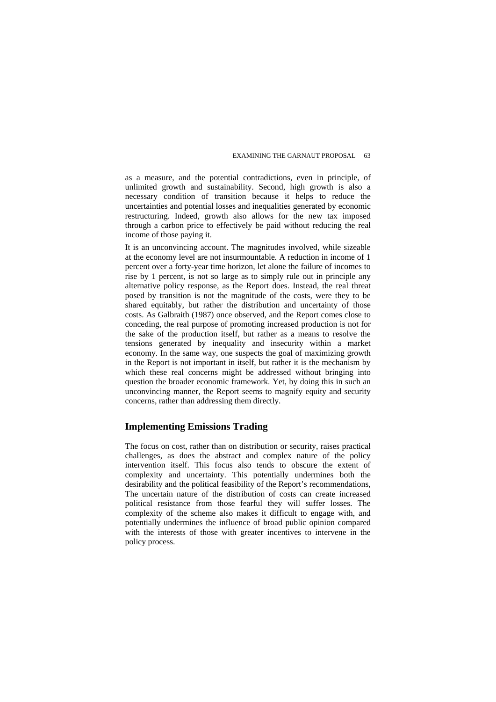as a measure, and the potential contradictions, even in principle, of unlimited growth and sustainability. Second, high growth is also a necessary condition of transition because it helps to reduce the uncertainties and potential losses and inequalities generated by economic restructuring. Indeed, growth also allows for the new tax imposed through a carbon price to effectively be paid without reducing the real income of those paying it.

It is an unconvincing account. The magnitudes involved, while sizeable at the economy level are not insurmountable. A reduction in income of 1 percent over a forty-year time horizon, let alone the failure of incomes to rise by 1 percent, is not so large as to simply rule out in principle any alternative policy response, as the Report does. Instead, the real threat posed by transition is not the magnitude of the costs, were they to be shared equitably, but rather the distribution and uncertainty of those costs. As Galbraith (1987) once observed, and the Report comes close to conceding, the real purpose of promoting increased production is not for the sake of the production itself, but rather as a means to resolve the tensions generated by inequality and insecurity within a market economy. In the same way, one suspects the goal of maximizing growth in the Report is not important in itself, but rather it is the mechanism by which these real concerns might be addressed without bringing into question the broader economic framework. Yet, by doing this in such an unconvincing manner, the Report seems to magnify equity and security concerns, rather than addressing them directly.

## **Implementing Emissions Trading**

The focus on cost, rather than on distribution or security, raises practical challenges, as does the abstract and complex nature of the policy intervention itself. This focus also tends to obscure the extent of complexity and uncertainty. This potentially undermines both the desirability and the political feasibility of the Report's recommendations, The uncertain nature of the distribution of costs can create increased political resistance from those fearful they will suffer losses. The complexity of the scheme also makes it difficult to engage with, and potentially undermines the influence of broad public opinion compared with the interests of those with greater incentives to intervene in the policy process.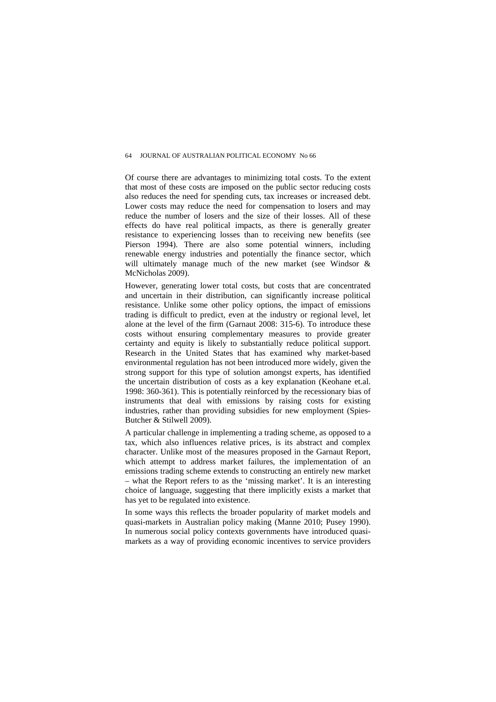Of course there are advantages to minimizing total costs. To the extent that most of these costs are imposed on the public sector reducing costs also reduces the need for spending cuts, tax increases or increased debt. Lower costs may reduce the need for compensation to losers and may reduce the number of losers and the size of their losses. All of these effects do have real political impacts, as there is generally greater resistance to experiencing losses than to receiving new benefits (see Pierson 1994). There are also some potential winners, including renewable energy industries and potentially the finance sector, which will ultimately manage much of the new market (see Windsor & McNicholas 2009).

However, generating lower total costs, but costs that are concentrated and uncertain in their distribution, can significantly increase political resistance. Unlike some other policy options, the impact of emissions trading is difficult to predict, even at the industry or regional level, let alone at the level of the firm (Garnaut 2008: 315-6). To introduce these costs without ensuring complementary measures to provide greater certainty and equity is likely to substantially reduce political support. Research in the United States that has examined why market-based environmental regulation has not been introduced more widely, given the strong support for this type of solution amongst experts, has identified the uncertain distribution of costs as a key explanation (Keohane et.al. 1998: 360-361). This is potentially reinforced by the recessionary bias of instruments that deal with emissions by raising costs for existing industries, rather than providing subsidies for new employment (Spies-Butcher & Stilwell 2009).

A particular challenge in implementing a trading scheme, as opposed to a tax, which also influences relative prices, is its abstract and complex character. Unlike most of the measures proposed in the Garnaut Report, which attempt to address market failures, the implementation of an emissions trading scheme extends to constructing an entirely new market – what the Report refers to as the 'missing market'. It is an interesting choice of language, suggesting that there implicitly exists a market that has yet to be regulated into existence.

In some ways this reflects the broader popularity of market models and quasi-markets in Australian policy making (Manne 2010; Pusey 1990). In numerous social policy contexts governments have introduced quasimarkets as a way of providing economic incentives to service providers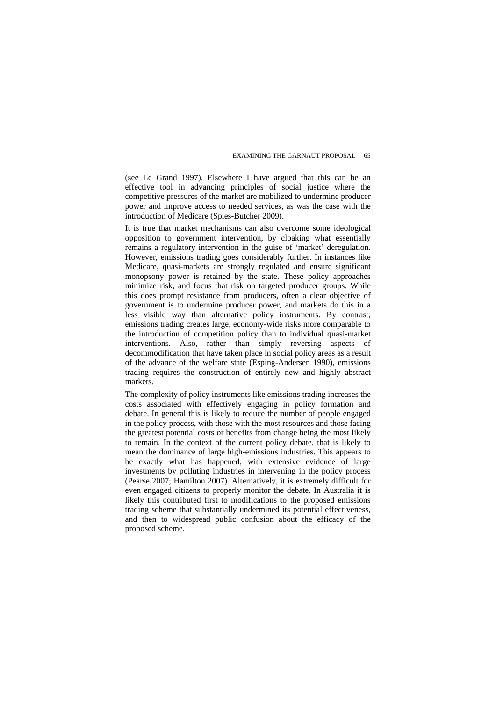(see Le Grand 1997). Elsewhere I have argued that this can be an effective tool in advancing principles of social justice where the competitive pressures of the market are mobilized to undermine producer power and improve access to needed services, as was the case with the introduction of Medicare (Spies-Butcher 2009).

It is true that market mechanisms can also overcome some ideological opposition to government intervention, by cloaking what essentially remains a regulatory intervention in the guise of 'market' deregulation. However, emissions trading goes considerably further. In instances like Medicare, quasi-markets are strongly regulated and ensure significant monopsony power is retained by the state. These policy approaches minimize risk, and focus that risk on targeted producer groups. While this does prompt resistance from producers, often a clear objective of government is to undermine producer power, and markets do this in a less visible way than alternative policy instruments. By contrast, emissions trading creates large, economy-wide risks more comparable to the introduction of competition policy than to individual quasi-market interventions. Also, rather than simply reversing aspects of decommodification that have taken place in social policy areas as a result of the advance of the welfare state (Esping-Andersen 1990), emissions trading requires the construction of entirely new and highly abstract markets.

The complexity of policy instruments like emissions trading increases the costs associated with effectively engaging in policy formation and debate. In general this is likely to reduce the number of people engaged in the policy process, with those with the most resources and those facing the greatest potential costs or benefits from change being the most likely to remain. In the context of the current policy debate, that is likely to mean the dominance of large high-emissions industries. This appears to be exactly what has happened, with extensive evidence of large investments by polluting industries in intervening in the policy process (Pearse 2007; Hamilton 2007). Alternatively, it is extremely difficult for even engaged citizens to properly monitor the debate. In Australia it is likely this contributed first to modifications to the proposed emissions trading scheme that substantially undermined its potential effectiveness, and then to widespread public confusion about the efficacy of the proposed scheme.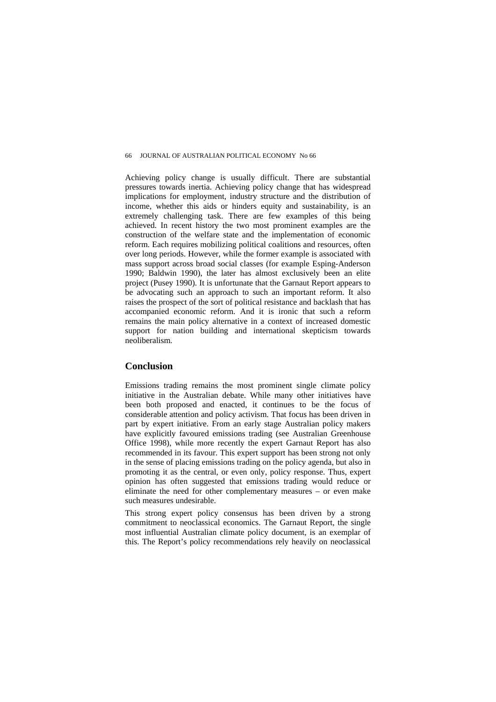Achieving policy change is usually difficult. There are substantial pressures towards inertia. Achieving policy change that has widespread implications for employment, industry structure and the distribution of income, whether this aids or hinders equity and sustainability, is an extremely challenging task. There are few examples of this being achieved. In recent history the two most prominent examples are the construction of the welfare state and the implementation of economic reform. Each requires mobilizing political coalitions and resources, often over long periods. However, while the former example is associated with mass support across broad social classes (for example Esping-Anderson 1990; Baldwin 1990), the later has almost exclusively been an elite project (Pusey 1990). It is unfortunate that the Garnaut Report appears to be advocating such an approach to such an important reform. It also raises the prospect of the sort of political resistance and backlash that has accompanied economic reform. And it is ironic that such a reform remains the main policy alternative in a context of increased domestic support for nation building and international skepticism towards neoliberalism.

#### **Conclusion**

Emissions trading remains the most prominent single climate policy initiative in the Australian debate. While many other initiatives have been both proposed and enacted, it continues to be the focus of considerable attention and policy activism. That focus has been driven in part by expert initiative. From an early stage Australian policy makers have explicitly favoured emissions trading (see Australian Greenhouse Office 1998), while more recently the expert Garnaut Report has also recommended in its favour. This expert support has been strong not only in the sense of placing emissions trading on the policy agenda, but also in promoting it as the central, or even only, policy response. Thus, expert opinion has often suggested that emissions trading would reduce or eliminate the need for other complementary measures – or even make such measures undesirable.

This strong expert policy consensus has been driven by a strong commitment to neoclassical economics. The Garnaut Report, the single most influential Australian climate policy document, is an exemplar of this. The Report's policy recommendations rely heavily on neoclassical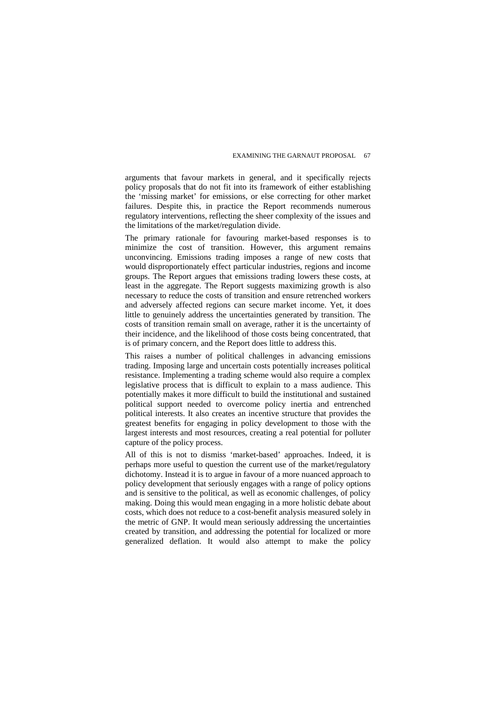arguments that favour markets in general, and it specifically rejects policy proposals that do not fit into its framework of either establishing the 'missing market' for emissions, or else correcting for other market failures. Despite this, in practice the Report recommends numerous regulatory interventions, reflecting the sheer complexity of the issues and the limitations of the market/regulation divide.

The primary rationale for favouring market-based responses is to minimize the cost of transition. However, this argument remains unconvincing. Emissions trading imposes a range of new costs that would disproportionately effect particular industries, regions and income groups. The Report argues that emissions trading lowers these costs, at least in the aggregate. The Report suggests maximizing growth is also necessary to reduce the costs of transition and ensure retrenched workers and adversely affected regions can secure market income. Yet, it does little to genuinely address the uncertainties generated by transition. The costs of transition remain small on average, rather it is the uncertainty of their incidence, and the likelihood of those costs being concentrated, that is of primary concern, and the Report does little to address this.

This raises a number of political challenges in advancing emissions trading. Imposing large and uncertain costs potentially increases political resistance. Implementing a trading scheme would also require a complex legislative process that is difficult to explain to a mass audience. This potentially makes it more difficult to build the institutional and sustained political support needed to overcome policy inertia and entrenched political interests. It also creates an incentive structure that provides the greatest benefits for engaging in policy development to those with the largest interests and most resources, creating a real potential for polluter capture of the policy process.

All of this is not to dismiss 'market-based' approaches. Indeed, it is perhaps more useful to question the current use of the market/regulatory dichotomy. Instead it is to argue in favour of a more nuanced approach to policy development that seriously engages with a range of policy options and is sensitive to the political, as well as economic challenges, of policy making. Doing this would mean engaging in a more holistic debate about costs, which does not reduce to a cost-benefit analysis measured solely in the metric of GNP. It would mean seriously addressing the uncertainties created by transition, and addressing the potential for localized or more generalized deflation. It would also attempt to make the policy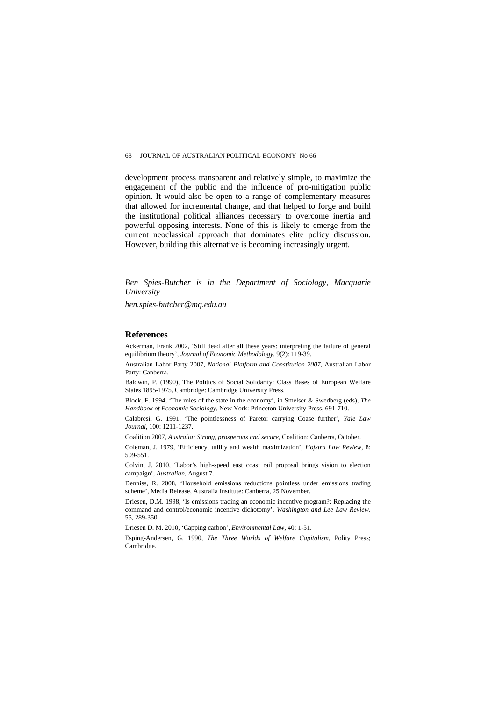development process transparent and relatively simple, to maximize the engagement of the public and the influence of pro-mitigation public opinion. It would also be open to a range of complementary measures that allowed for incremental change, and that helped to forge and build the institutional political alliances necessary to overcome inertia and powerful opposing interests. None of this is likely to emerge from the current neoclassical approach that dominates elite policy discussion. However, building this alternative is becoming increasingly urgent.

*Ben Spies-Butcher is in the Department of Sociology, Macquarie University* 

*ben.spies-butcher@mq.edu.au* 

#### **References**

Ackerman, Frank 2002, 'Still dead after all these years: interpreting the failure of general equilibrium theory', *Journal of Economic Methodology*, 9(2): 119-39.

Australian Labor Party 2007, *National Platform and Constitution 2007*, Australian Labor Party: Canberra.

Baldwin, P. (1990), The Politics of Social Solidarity: Class Bases of European Welfare States 1895-1975, Cambridge: Cambridge University Press.

Block, F. 1994, 'The roles of the state in the economy', in Smelser & Swedberg (eds), *The Handbook of Economic Sociology*, New York: Princeton University Press, 691-710.

Calabresi, G. 1991, 'The pointlessness of Pareto: carrying Coase further', *Yale Law Journal*, 100: 1211-1237.

Coalition 2007, *Australia: Strong, prosperous and secure*, Coalition: Canberra, October.

Coleman, J. 1979, 'Efficiency, utility and wealth maximization', *Hofstra Law Review*, 8: 509-551.

Colvin, J. 2010, 'Labor's high-speed east coast rail proposal brings vision to election campaign', *Australian*, August 7.

Denniss, R. 2008, 'Household emissions reductions pointless under emissions trading scheme', Media Release, Australia Institute: Canberra, 25 November.

Driesen, D.M. 1998, 'Is emissions trading an economic incentive program?: Replacing the command and control/economic incentive dichotomy', *Washington and Lee Law Review*, 55, 289-350.

Driesen D. M. 2010, 'Capping carbon', *Environmental Law*, 40: 1-51.

Esping-Andersen, G. 1990, *The Three Worlds of Welfare Capitalism*, Polity Press; Cambridge.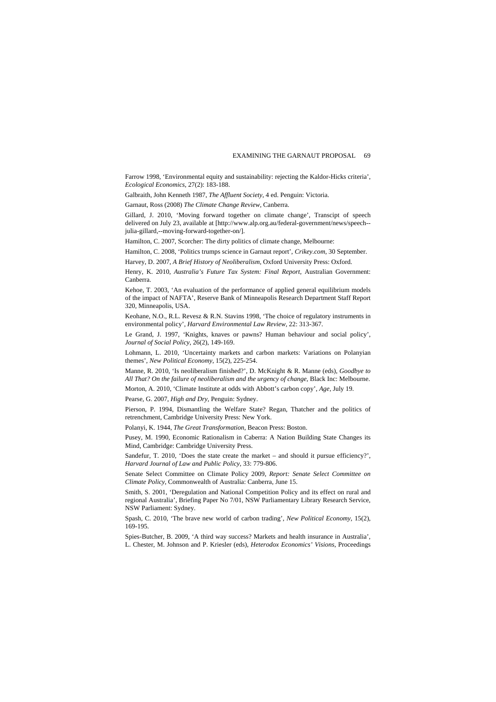Farrow 1998, 'Environmental equity and sustainability: rejecting the Kaldor-Hicks criteria', *Ecological Economics*, 27(2): 183-188.

Galbraith, John Kenneth 1987, *The Affluent Society*, 4 ed. Penguin: Victoria.

Garnaut, Ross (2008) *The Climate Change Review*, Canberra.

Gillard, J. 2010, 'Moving forward together on climate change', Transcipt of speech delivered on July 23, available at [http://www.alp.org.au/federal-government/news/speech- julia-gillard,--moving-forward-together-on/].

Hamilton, C. 2007, Scorcher: The dirty politics of climate change, Melbourne:

Hamilton, C. 2008, 'Politics trumps science in Garnaut report', *Crikey.com*, 30 September.

Harvey, D. 2007, *A Brief History of Neoliberalism*, Oxford University Press: Oxford.

Henry, K. 2010, *Australia's Future Tax System: Final Report*, Australian Government: Canberra.

Kehoe, T. 2003, 'An evaluation of the performance of applied general equilibrium models of the impact of NAFTA', Reserve Bank of Minneapolis Research Department Staff Report 320, Minneapolis, USA.

Keohane, N.O., R.L. Revesz & R.N. Stavins 1998, 'The choice of regulatory instruments in environmental policy', *Harvard Environmental Law Review*, 22: 313-367.

Le Grand, J. 1997, 'Knights, knaves or pawns? Human behaviour and social policy', *Journal of Social Policy*, 26(2), 149-169.

Lohmann, L. 2010, 'Uncertainty markets and carbon markets: Variations on Polanyian themes', *New Political Economy*, 15(2), 225-254.

Manne, R. 2010, 'Is neoliberalism finished?', D. McKnight & R. Manne (eds), *Goodbye to All That? On the failure of neoliberalism and the urgency of change*, Black Inc: Melbourne.

Morton, A. 2010, 'Climate Institute at odds with Abbott's carbon copy', *Age*, July 19.

Pearse, G. 2007, *High and Dry*, Penguin: Sydney.

Pierson, P. 1994, Dismantling the Welfare State? Regan, Thatcher and the politics of retrenchment, Cambridge University Press: New York.

Polanyi, K. 1944, *The Great Transformation*, Beacon Press: Boston.

Pusey, M. 1990, Economic Rationalism in Caberra: A Nation Building State Changes its Mind, Cambridge: Cambridge University Press.

Sandefur, T. 2010, 'Does the state create the market – and should it pursue efficiency?', *Harvard Journal of Law and Public Policy*, 33: 779-806.

Senate Select Committee on Climate Policy 2009, *Report: Senate Select Committee on Climate Policy*, Commonwealth of Australia: Canberra, June 15.

Smith, S. 2001, 'Deregulation and National Competition Policy and its effect on rural and regional Australia', Briefing Paper No 7/01, NSW Parliamentary Library Research Service, NSW Parliament: Sydney.

Spash, C. 2010, 'The brave new world of carbon trading', *New Political Economy*, 15(2), 169-195.

Spies-Butcher, B. 2009, 'A third way success? Markets and health insurance in Australia', L. Chester, M. Johnson and P. Kriesler (eds), *Heterodox Economics' Visions*, Proceedings